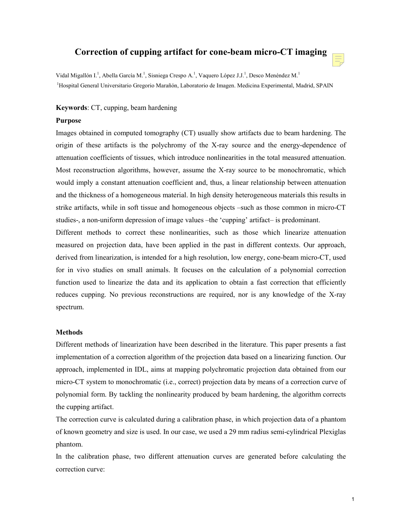# **Correction of cupping artifact for cone-beam micro-CT imaging**

Vidal Migallón I.<sup>1</sup>, Abella García M.<sup>1</sup>, Sisniega Crespo A.<sup>1</sup>, Vaquero López J.J.<sup>1</sup>, Desco Menéndez M.<sup>1</sup> 1Hospital General Universitario Gregorio Marañón, Laboratorio de Imagen. Medicina Experimental, Madrid, SPAIN

### **Keywords**: CT, cupping, beam hardening

#### **Purpose**

Images obtained in computed tomography (CT) usually show artifacts due to beam hardening. The origin of these artifacts is the polychromy of the X-ray source and the energy-dependence of attenuation coefficients of tissues, which introduce nonlinearities in the total measured attenuation. Most reconstruction algorithms, however, assume the X-ray source to be monochromatic, which would imply a constant attenuation coefficient and, thus, a linear relationship between attenuation and the thickness of a homogeneous material. In high density heterogeneous materials this results in strike artifacts, while in soft tissue and homogeneous objects –such as those common in micro-CT studies-, a non-uniform depression of image values –the 'cupping' artifact– is predominant.

Different methods to correct these nonlinearities, such as those which linearize attenuation measured on projection data, have been applied in the past in different contexts. Our approach, derived from linearization, is intended for a high resolution, low energy, cone-beam micro-CT, used for in vivo studies on small animals. It focuses on the calculation of a polynomial correction function used to linearize the data and its application to obtain a fast correction that efficiently reduces cupping. No previous reconstructions are required, nor is any knowledge of the X-ray spectrum.

#### **Methods**

Different methods of linearization have been described in the literature. This paper presents a fast implementation of a correction algorithm of the projection data based on a linearizing function. Our approach, implemented in IDL, aims at mapping polychromatic projection data obtained from our micro-CT system to monochromatic (i.e., correct) projection data by means of a correction curve of polynomial form. By tackling the nonlinearity produced by beam hardening, the algorithm corrects the cupping artifact.

The correction curve is calculated during a calibration phase, in which projection data of a phantom of known geometry and size is used. In our case, we used a 29 mm radius semi-cylindrical Plexiglas phantom.

In the calibration phase, two different attenuation curves are generated before calculating the correction curve: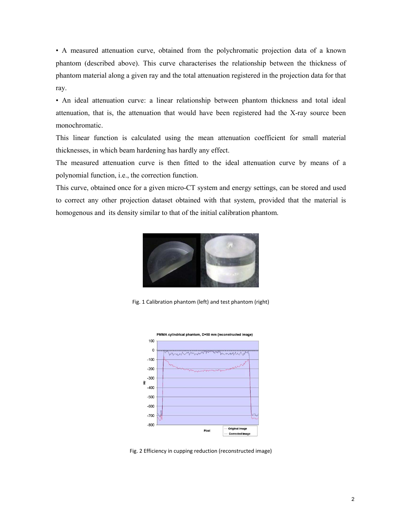• A measured attenuation curve, obtained from the polychromatic projection data of a known phantom (described above). This curve characterises the relationship between the thickness of phantom material along a given ray and the total attenuation registered in the projection data for that ray.

• An ideal attenuation curve: a linear relationship between phantom thickness and total ideal attenuation, that is, the attenuation that would have been registered had the X-ray source been monochromatic.

This linear function is calculated using the mean attenuation coefficient for small material thicknesses, in which beam hardening has hardly any effect.

The measured attenuation curve is then fitted to the ideal attenuation curve by means of a polynomial function, i.e., the correction function.

This curve, obtained once for a given micro-CT system and energy settings, can be stored and used to correct any other projection dataset obtained with that system, provided that the material is homogenous and its density similar to that of the initial calibration phantom.



Fig. 1 Calibration phantom (left) and test phantom (right)



Fig. 2 Efficiency in cupping reduction (reconstructed image)